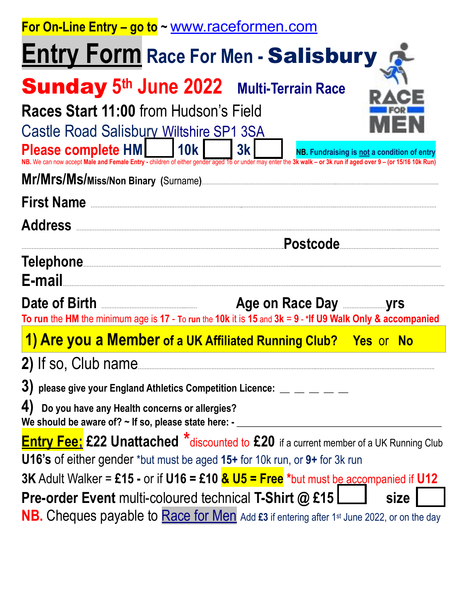| For On-Line Entry - go to ~ www.raceformen.com                                                                                                          |                                                   |
|---------------------------------------------------------------------------------------------------------------------------------------------------------|---------------------------------------------------|
| <b>Entry Form Race For Men - Salisbury Right</b>                                                                                                        |                                                   |
| <b>Sunday 5th June 2022 Multi-Terrain Race</b>                                                                                                          |                                                   |
| Races Start 11:00 from Hudson's Field<br><b>Castle Road Salisbury Wiltshire SP1 3SA</b><br>Please complete HM     10k                                   | 3k<br>NB. Fundraising is not a condition of entry |
| can now accept Male and Female Entry - children of either gender aged 16 or under may enter the 3k walk - or 3k run if aged over 9 - (or 15/16 10k Run) |                                                   |
| First Name                                                                                                                                              |                                                   |
| <b>Address</b>                                                                                                                                          |                                                   |
|                                                                                                                                                         |                                                   |
| E-mail                                                                                                                                                  |                                                   |
| To run the HM the minimum age is 17 - To run the 10k it is 15 and $3k = 9 - *$ If U9 Walk Only & accompanied                                            | Age on Race Day <b>Ensurance Parameter</b> yrs    |
| 1) Are you a Member of a UK Affiliated Running Club? Yes or No                                                                                          |                                                   |
|                                                                                                                                                         |                                                   |
|                                                                                                                                                         |                                                   |
| 4)<br>Do you have any Health concerns or allergies?<br>We should be aware of? $\sim$ If so, please state here: -                                        |                                                   |
| <b>Entry Fee:</b> £22 Unattached *discounted to £20 if a current member of a UK Running Club                                                            |                                                   |
| <b>U16's of either gender *but must be aged 15+ for 10k run, or 9+ for 3k run</b>                                                                       |                                                   |
| 3K Adult Walker = £15 - or if $U16 =$ £10 $\frac{R}{V}$ $U5 =$ Free *but must be accompanied if U12                                                     |                                                   |
| <b>Pre-order Event multi-coloured technical T-Shirt @ £15</b><br>size                                                                                   |                                                   |
| <b>NB.</b> Cheques payable to <b>Race for Men</b> Add £3 if entering after 1st June 2022, or on the day                                                 |                                                   |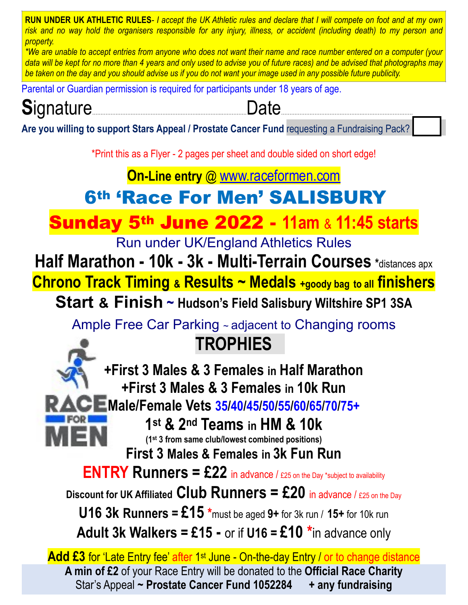**RUN UNDER UK ATHLETIC RULES***- I accept the UK Athletic rules and declare that I will compete on foot and at my own risk and no way hold the organisers responsible for any injury, illness, or accident (including death) to my person and property.* 

*\*We are unable to accept entries from anyone who does not want their name and race number entered on a computer (your data will be kept for no more than 4 years and only used to advise you of future races) and be advised that photographs may be taken on the day and you should advise us if you do not want your image used in any possible future publicity.* 

Parental or Guardian permission is required for participants under 18 years of age.

## **S**ignature……………………………………………………….…………..……………Date………………………………………….…………………………

**Are you willing to support Stars Appeal / Prostate Cancer Fund** requesting a Fundraising Pack?

\*Print this as a Flyer - 2 pages per sheet and double sided on short edge!

### **On-Line entry** @ [www.raceformen.com](http://www.raceformen.com)

### 6th 'Race For Men' SALISBURY

Sunday 5th June 2022 - **11am** & **11:45 starts**

Run under UK/England Athletics Rules

**Half Marathon - 10k - 3k - Multi-Terrain Courses \***distances apx

**Chrono Track Timing & Results ~ Medals +goody bag to all finishers**

**Start & Finish ~ Hudson's Field Salisbury Wiltshire SP1 3SA**

Ample Free Car Parking ~ adjacent to Changing rooms

### **TROPHIES**

**+First 3 Males & 3 Females in Half Marathon +First 3 Males & 3 Females in 10k Run Male/Female Vets 35/40/45/50/55/60/65/70/75+**

**1st & 2nd Teams in HM & 10k (1st 3 from same club/lowest combined positions)**

**First 3 Males & Females in 3k Fun Run**

**ENTRY Runners = £22** in advance / £25 on the Day \*subject to availability

**Discount for UK Affiliated Club Runners = £20** in advance / £25 on the Day

**U16 3k Runners = £15 \***must be aged **9+** for 3k run / **15+** for 10k run

**Adult 3k Walkers = £15 -** or if **U16 = £10 \***in advance only

**Add £3** for 'Late Entry fee' after 1<sup>st</sup> June - On-the-day Entry / or to change distance **A min of £2** of your Race Entry will be donated to the **Official Race Charity**  Star's Appeal **~ Prostate Cancer Fund 1052284 + any fundraising**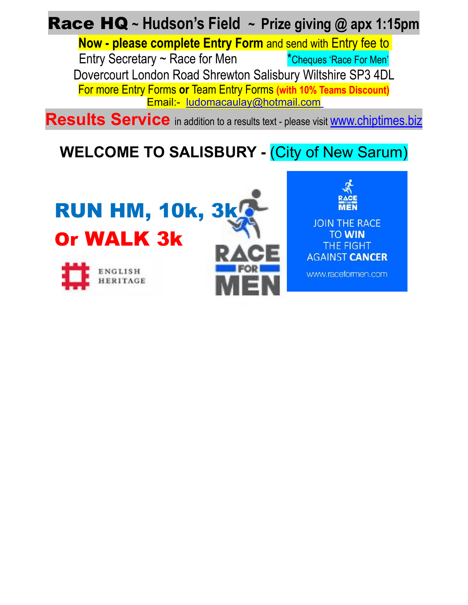Race HQ **~ Hudson's Field ~ Prize giving @ apx 1:15pm**

**Now - please complete Entry Form** and send with Entry fee to Entry Secretary  $\sim$  Race for Men  $\sim$  \*Cheques 'Race For Men' Dovercourt London Road Shrewton Salisbury Wiltshire SP3 4DL For more Entry Forms **or** Team Entry Forms **(with 10% Teams Discount)** Email:- [ludomacaulay@hotmail.com](mailto:ludomacaulay@hotmail.com)

**Results Service** in addition to a results text - please visit **WWW.chiptimes.biz** 

### **WELCOME TO SALISBURY -** (City of New Sarum)

# RUN HM, 10k, 3k Or WALK 3k





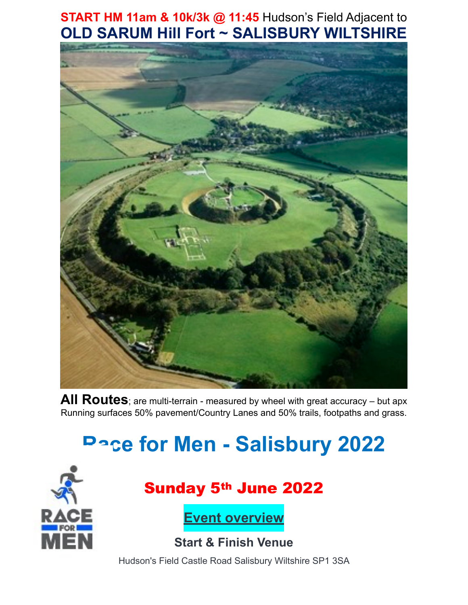#### **START HM 11am & 10k/3k @ 11:45** Hudson's Field Adjacent to **OLD SARUM Hill Fort ~ SALISBURY WILTSHIRE**



**All Routes**; are multi-terrain - measured by wheel with great accuracy – but apx Running surfaces 50% pavement/Country Lanes and 50% trails, footpaths and grass.

# **Race for Men - Salisbury 2022**



### Sunday 5th June 2022

**Event overview**

**Start & Finish Venue**

Hudson's Field Castle Road Salisbury Wiltshire SP1 3SA